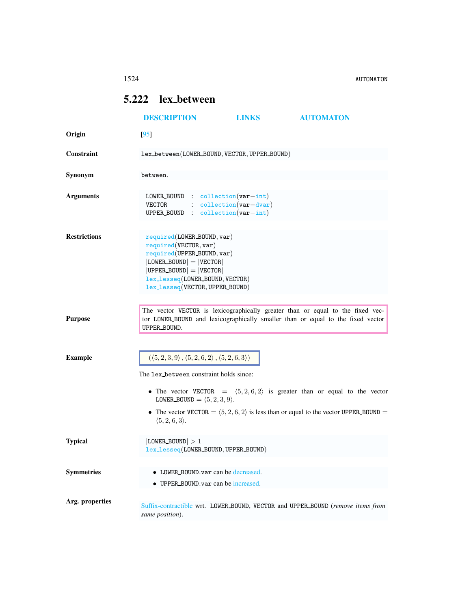1524 AUTOMATON

## <span id="page-0-0"></span>5.222 lex between

|                     | <b>DESCRIPTION</b>                                                                                                                                                                                                    | <b>LINKS</b> | <b>AUTOMATON</b>                                                                                       |
|---------------------|-----------------------------------------------------------------------------------------------------------------------------------------------------------------------------------------------------------------------|--------------|--------------------------------------------------------------------------------------------------------|
| Origin              | [95]                                                                                                                                                                                                                  |              |                                                                                                        |
| <b>Constraint</b>   | lex_between(LOWER_BOUND, VECTOR, UPPER_BOUND)                                                                                                                                                                         |              |                                                                                                        |
| Synonym             | between.                                                                                                                                                                                                              |              |                                                                                                        |
| <b>Arguments</b>    | LOWER BOUND : $\text{collection}(var-int)$<br>$:$ $\text{collection}(\text{var}-\text{dvar})$<br>VECTOR<br>UPPER_BOUND : collection(var-int)                                                                          |              |                                                                                                        |
| <b>Restrictions</b> | $required(LOWER_BOUND, var)$<br>required(VECTOR, var)<br>required(UPPER_BOUND, var)<br>$ LOWER_BOUND  =  VECTOR $<br>$ UPPER_BOUND  =  VECTOR $<br>lex_lesseq(LOWER_BOUND, VECTOR)<br>lex_lesseq(VECTOR, UPPER_BOUND) |              |                                                                                                        |
| <b>Purpose</b>      | The vector VECTOR is lexicographically greater than or equal to the fixed vec-<br>tor LOWER_BOUND and lexicographically smaller than or equal to the fixed vector<br>UPPER_BOUND.                                     |              |                                                                                                        |
| <b>Example</b>      | $(\langle 5,2,3,9 \rangle, \langle 5,2,6,2 \rangle, \langle 5,2,6,3 \rangle)$                                                                                                                                         |              |                                                                                                        |
|                     | The lex between constraint holds since:                                                                                                                                                                               |              |                                                                                                        |
|                     | LOWER BOUND = $\langle 5, 2, 3, 9 \rangle$ .                                                                                                                                                                          |              | • The vector VECTOR = $(5,2,6,2)$ is greater than or equal to the vector                               |
|                     | $\langle 5, 2, 6, 3 \rangle$ .                                                                                                                                                                                        |              | • The vector VECTOR $= \langle 5, 2, 6, 2 \rangle$ is less than or equal to the vector UPPER_BOUND $=$ |
| <b>Typical</b>      | $ $ LOWER_BOUND $ >1$<br>lex_lesseq(LOWER_BOUND, UPPER_BOUND)                                                                                                                                                         |              |                                                                                                        |
| <b>Symmetries</b>   | • LOWER BOUND var can be decreased.<br>• UPPER BOUND var can be increased.                                                                                                                                            |              |                                                                                                        |
| Arg. properties     | Suffix-contractible wrt. LOWER_BOUND, VECTOR and UPPER_BOUND (remove items from<br>same position).                                                                                                                    |              |                                                                                                        |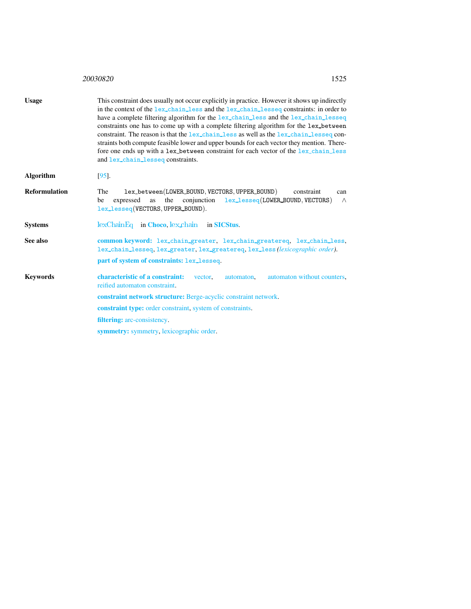<span id="page-1-0"></span>

|                  | 20030820<br>1525                                                                                                                                                                                                                                                                                                                                                                                                                                                                                                                                                                                                                                                                              |
|------------------|-----------------------------------------------------------------------------------------------------------------------------------------------------------------------------------------------------------------------------------------------------------------------------------------------------------------------------------------------------------------------------------------------------------------------------------------------------------------------------------------------------------------------------------------------------------------------------------------------------------------------------------------------------------------------------------------------|
| <b>Usage</b>     | This constraint does usually not occur explicitly in practice. However it shows up indirectly<br>in the context of the lex_chain_less and the lex_chain_lesseq constraints: in order to<br>have a complete filtering algorithm for the lex_chain_less and the lex_chain_lesseq<br>constraints one has to come up with a complete filtering algorithm for the lex_between<br>constraint. The reason is that the lex_chain_less as well as the lex_chain_lesseq con-<br>straints both compute feasible lower and upper bounds for each vector they mention. There-<br>fore one ends up with a lex_between constraint for each vector of the lex_chain_less<br>and lex_chain_lesseq constraints. |
| <b>Algorithm</b> | $[95]$ .                                                                                                                                                                                                                                                                                                                                                                                                                                                                                                                                                                                                                                                                                      |
| Reformulation    | lex_between(LOWER_BOUND, VECTORS, UPPER_BOUND)<br>The<br>constraint<br>can<br>conjunction<br>lex_lesseq(LOWER_BOUND, VECTORS)<br>expressed<br>the<br>be<br>as<br>$\wedge$<br>lex_lesseq(VECTORS, UPPER_BOUND).                                                                                                                                                                                                                                                                                                                                                                                                                                                                                |
| <b>Systems</b>   | $lexChainEq$ in Choco, $lex\_chain$<br>in <b>SICStus</b>                                                                                                                                                                                                                                                                                                                                                                                                                                                                                                                                                                                                                                      |
| See also         | common keyword: lex_chain_greater, lex_chain_greatereq, lex_chain_less,<br>lex_chain_lesseq, lex_greater, lex_greatereq, lex_less(lexicographic order).<br>part of system of constraints: lex_lesseq.                                                                                                                                                                                                                                                                                                                                                                                                                                                                                         |
| <b>Keywords</b>  | characteristic of a constraint:<br>automaton without counters.<br>vector.<br>automaton,<br>reified automaton constraint.                                                                                                                                                                                                                                                                                                                                                                                                                                                                                                                                                                      |
|                  | constraint network structure: Berge-acyclic constraint network.                                                                                                                                                                                                                                                                                                                                                                                                                                                                                                                                                                                                                               |
|                  | <b>constraint type:</b> order constraint, system of constraints.                                                                                                                                                                                                                                                                                                                                                                                                                                                                                                                                                                                                                              |
|                  | filtering: arc-consistency.                                                                                                                                                                                                                                                                                                                                                                                                                                                                                                                                                                                                                                                                   |
|                  | <b>symmetry:</b> symmetry, lexicographic order.                                                                                                                                                                                                                                                                                                                                                                                                                                                                                                                                                                                                                                               |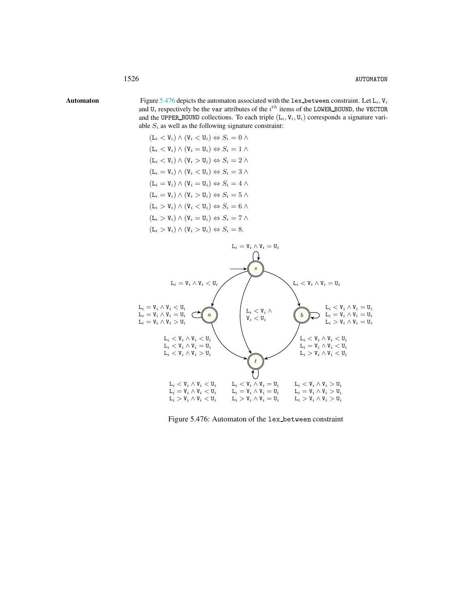Automaton Figure [5.476](#page-2-1) depicts the automaton associated with the lex-between constraint. Let  $L_i$ ,  $V_i$ and  $U_i$  respectively be the var attributes of the  $i^{th}$  items of the LOWER BOUND, the VECTOR and the UPPER BOUND collections. To each triple  $(L_i, V_i, U_i)$  corresponds a signature variable  $S_i$  as well as the following signature constraint:

> <span id="page-2-0"></span> $(L_i < V_i) \wedge (V_i < U_i) \Leftrightarrow S_i = 0 \wedge$  $(L_i < V_i) \wedge (V_i = U_i) \Leftrightarrow S_i = 1 \wedge$  $(L_i < V_i) \wedge (V_i > U_i) \Leftrightarrow S_i = 2 \wedge$  $(L_i = V_i) \wedge (V_i < U_i) \Leftrightarrow S_i = 3 \wedge$  $(L_i = V_i) \wedge (V_i = U_i) \Leftrightarrow S_i = 4 \wedge$  $(L_i = V_i) \wedge (V_i > U_i) \Leftrightarrow S_i = 5 \wedge$  $(L_i > V_i) \wedge (V_i < U_i) \Leftrightarrow S_i = 6 \wedge$  $(L_i > V_i) \wedge (V_i = U_i) \Leftrightarrow S_i = 7 \wedge$  $(L_i > V_i) \wedge (V_i > U_i) \Leftrightarrow S_i = 8.$



<span id="page-2-1"></span>Figure 5.476: Automaton of the lex between constraint